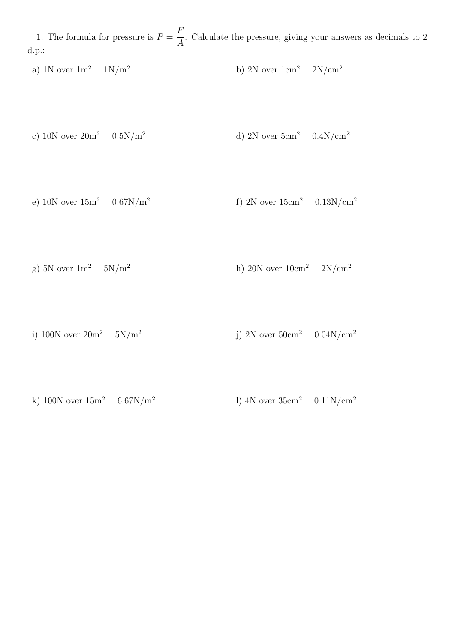1. The formula for pressure is  $P =$ F A . Calculate the pressure, giving your answers as decimals to 2 d.p.:

a) 1N over  $1 \text{m}^2$   $1 \text{N/m}^2$  b) 2N over  $1 \text{cm}^2$   $2 \text{N/cm}^2$ 

- c) 10N over  $20m^2$  0.5N/m<sup>2</sup> d) 2N over  $5cm^2$  0.4N/cm<sup>2</sup>
- e) 10N over  $15m^2$  0.67N/m<sup>2</sup> f) 2N over  $15 \text{cm}^2$  0.13N/cm<sup>2</sup>
- g) 5N over  $1 \text{m}^2$  5N/m<sup>2</sup> h) 20N over  $10 \text{cm}^2$  2N/cm<sup>2</sup>
- i) 100N over  $20m^2$  5N/m<sup>2</sup> j) 2N over  $50 \text{cm}^2$  0.04N/cm<sup>2</sup>
- k) 100N over  $15m^2$  6.67N/m<sup>2</sup> l) 4N over  $35 \text{cm}^2$  0.11N/cm<sup>2</sup>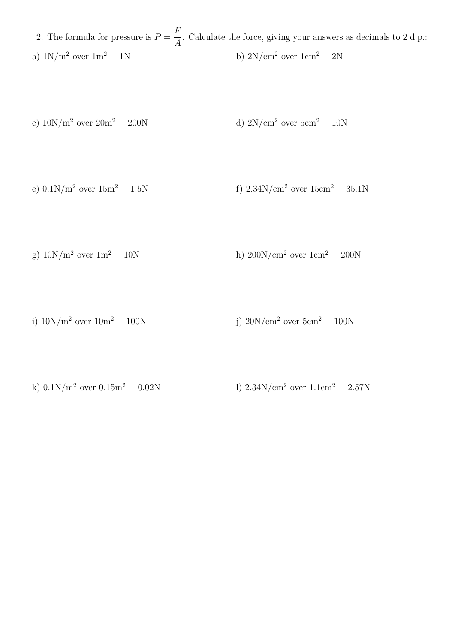2. The formula for pressure is  $P =$ F A . Calculate the force, giving your answers as decimals to 2 d.p.: a)  $1\mathrm{N/m^2}$  over  $1\mathrm{m^2}$   $-1\mathrm{N}$  b)  $2\mathrm{N/cm^2}$  over  $1\mathrm{cm^2}$   $-2\mathrm{N}$ 

- c)  $10N/m^2$  over  $20m^2$  200N d)  $2N/cm^2$  over  $5cm^2$  10N
- e)  $0.1N/m^2$  over  $15m^2$  1.5N f)  $2.34N/cm^2$  over  $15cm^2$  35.1N
- g)  $10N/m^2$  over  $1m^2$  10N h)  $200N/cm^2$  over  $1cm^2$  200N
- i)  $10N/m^2$  over  $10m^2$  100N j)  $20N/cm^2$  over  $5cm^2$  100N
- k)  $0.1N/m^2$  over  $0.15m^2$  0.02N l)  $2.34N/cm^2$  over  $1.1cm^2$  2.57N
	-